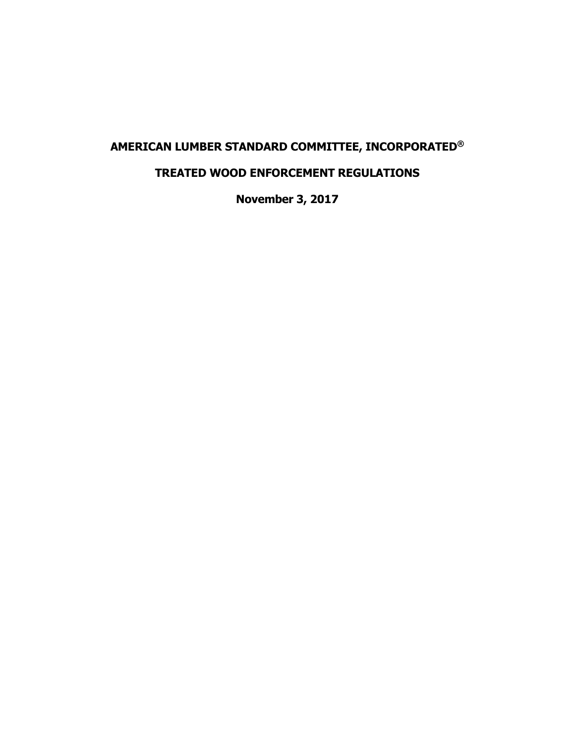# **AMERICAN LUMBER STANDARD COMMITTEE, INCORPORATED®**

# **TREATED WOOD ENFORCEMENT REGULATIONS**

**November 3, 2017**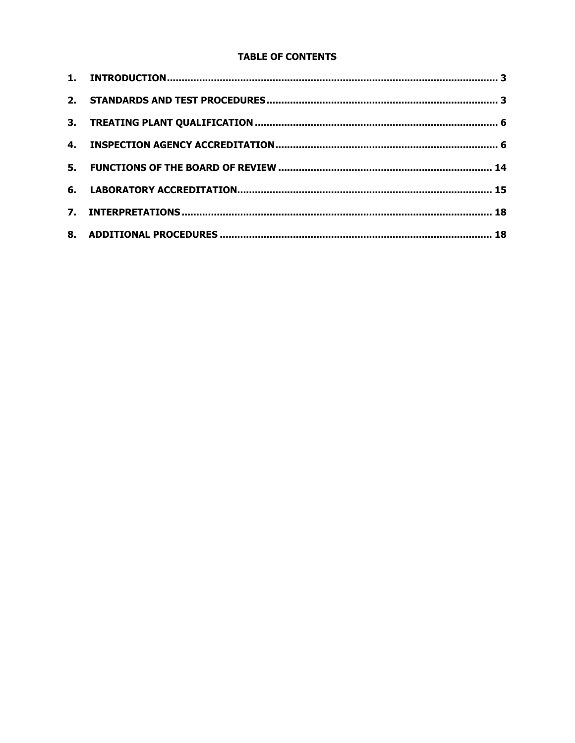### **TABLE OF CONTENTS**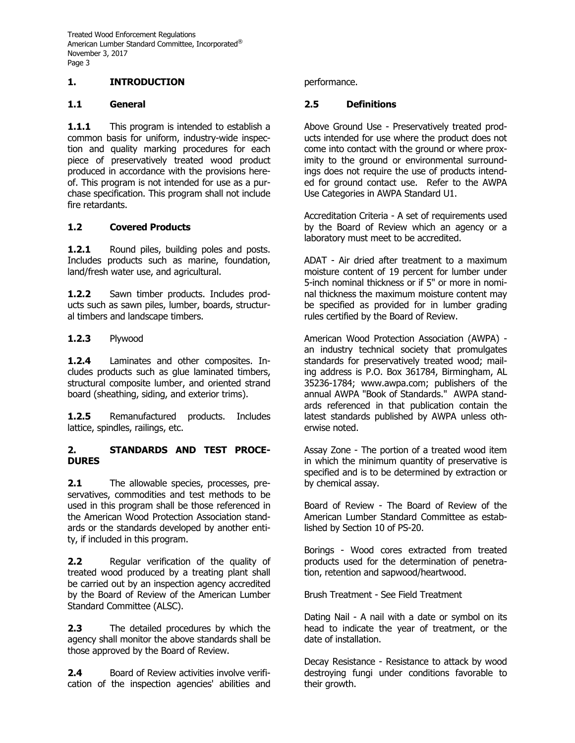# **1. INTRODUCTION**

#### **1.1 General**

**1.1.1** This program is intended to establish a common basis for uniform, industry-wide inspection and quality marking procedures for each piece of preservatively treated wood product produced in accordance with the provisions hereof. This program is not intended for use as a purchase specification. This program shall not include fire retardants.

# **1.2 Covered Products**

**1.2.1** Round piles, building poles and posts. Includes products such as marine, foundation, land/fresh water use, and agricultural.

1.2.2 Sawn timber products. Includes products such as sawn piles, lumber, boards, structural timbers and landscape timbers.

### **1.2.3** Plywood

**1.2.4** Laminates and other composites. Includes products such as glue laminated timbers, structural composite lumber, and oriented strand board (sheathing, siding, and exterior trims).

**1.2.5** Remanufactured products. Includes lattice, spindles, railings, etc.

# **2. STANDARDS AND TEST PROCE-DURES**

**2.1** The allowable species, processes, preservatives, commodities and test methods to be used in this program shall be those referenced in the American Wood Protection Association standards or the standards developed by another entity, if included in this program.

**2.2** Regular verification of the quality of treated wood produced by a treating plant shall be carried out by an inspection agency accredited by the Board of Review of the American Lumber Standard Committee (ALSC).

**2.3** The detailed procedures by which the agency shall monitor the above standards shall be those approved by the Board of Review.

**2.4** Board of Review activities involve verification of the inspection agencies' abilities and performance.

#### **2.5 Definitions**

Above Ground Use - Preservatively treated products intended for use where the product does not come into contact with the ground or where proximity to the ground or environmental surroundings does not require the use of products intended for ground contact use. Refer to the AWPA Use Categories in AWPA Standard U1.

Accreditation Criteria - A set of requirements used by the Board of Review which an agency or a laboratory must meet to be accredited.

ADAT - Air dried after treatment to a maximum moisture content of 19 percent for lumber under 5-inch nominal thickness or if 5" or more in nominal thickness the maximum moisture content may be specified as provided for in lumber grading rules certified by the Board of Review.

American Wood Protection Association (AWPA) an industry technical society that promulgates standards for preservatively treated wood; mailing address is P.O. Box 361784, Birmingham, AL 35236-1784; www.awpa.com; publishers of the annual AWPA "Book of Standards." AWPA standards referenced in that publication contain the latest standards published by AWPA unless otherwise noted.

Assay Zone - The portion of a treated wood item in which the minimum quantity of preservative is specified and is to be determined by extraction or by chemical assay.

Board of Review - The Board of Review of the American Lumber Standard Committee as established by Section 10 of PS-20.

Borings - Wood cores extracted from treated products used for the determination of penetration, retention and sapwood/heartwood.

Brush Treatment - See Field Treatment

Dating Nail - A nail with a date or symbol on its head to indicate the year of treatment, or the date of installation.

Decay Resistance - Resistance to attack by wood destroying fungi under conditions favorable to their growth.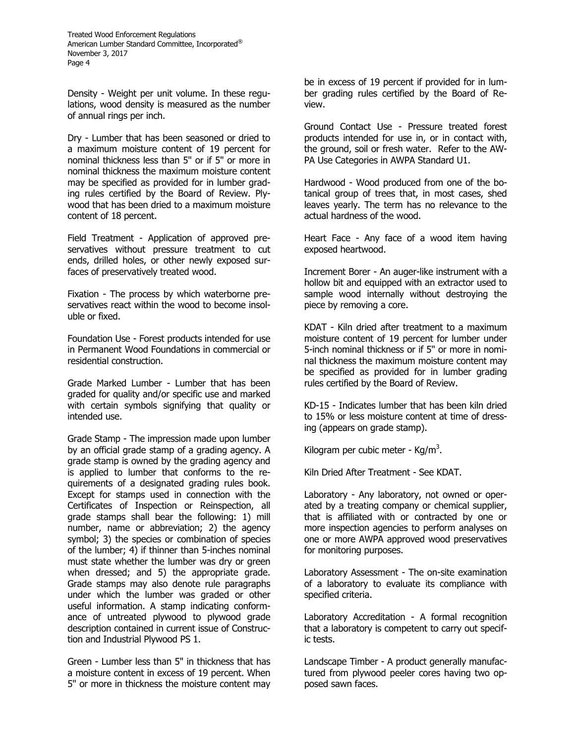Density - Weight per unit volume. In these regulations, wood density is measured as the number of annual rings per inch.

Dry - Lumber that has been seasoned or dried to a maximum moisture content of 19 percent for nominal thickness less than 5" or if 5" or more in nominal thickness the maximum moisture content may be specified as provided for in lumber grading rules certified by the Board of Review. Plywood that has been dried to a maximum moisture content of 18 percent.

Field Treatment - Application of approved preservatives without pressure treatment to cut ends, drilled holes, or other newly exposed surfaces of preservatively treated wood.

Fixation - The process by which waterborne preservatives react within the wood to become insoluble or fixed.

Foundation Use - Forest products intended for use in Permanent Wood Foundations in commercial or residential construction.

Grade Marked Lumber - Lumber that has been graded for quality and/or specific use and marked with certain symbols signifying that quality or intended use.

Grade Stamp - The impression made upon lumber by an official grade stamp of a grading agency. A grade stamp is owned by the grading agency and is applied to lumber that conforms to the requirements of a designated grading rules book. Except for stamps used in connection with the Certificates of Inspection or Reinspection, all grade stamps shall bear the following: 1) mill number, name or abbreviation; 2) the agency symbol; 3) the species or combination of species of the lumber; 4) if thinner than 5-inches nominal must state whether the lumber was dry or green when dressed; and 5) the appropriate grade. Grade stamps may also denote rule paragraphs under which the lumber was graded or other useful information. A stamp indicating conformance of untreated plywood to plywood grade description contained in current issue of Construction and Industrial Plywood PS 1.

Green - Lumber less than 5" in thickness that has a moisture content in excess of 19 percent. When 5" or more in thickness the moisture content may

be in excess of 19 percent if provided for in lumber grading rules certified by the Board of Review.

Ground Contact Use - Pressure treated forest products intended for use in, or in contact with, the ground, soil or fresh water. Refer to the AW-PA Use Categories in AWPA Standard U1.

Hardwood - Wood produced from one of the botanical group of trees that, in most cases, shed leaves yearly. The term has no relevance to the actual hardness of the wood.

Heart Face - Any face of a wood item having exposed heartwood.

Increment Borer - An auger-like instrument with a hollow bit and equipped with an extractor used to sample wood internally without destroying the piece by removing a core.

KDAT - Kiln dried after treatment to a maximum moisture content of 19 percent for lumber under 5-inch nominal thickness or if 5" or more in nominal thickness the maximum moisture content may be specified as provided for in lumber grading rules certified by the Board of Review.

KD-15 - Indicates lumber that has been kiln dried to 15% or less moisture content at time of dressing (appears on grade stamp).

Kilogram per cubic meter - Kg/m<sup>3</sup>.

Kiln Dried After Treatment - See KDAT.

Laboratory - Any laboratory, not owned or operated by a treating company or chemical supplier, that is affiliated with or contracted by one or more inspection agencies to perform analyses on one or more AWPA approved wood preservatives for monitoring purposes.

Laboratory Assessment - The on-site examination of a laboratory to evaluate its compliance with specified criteria.

Laboratory Accreditation - A formal recognition that a laboratory is competent to carry out specific tests.

Landscape Timber - A product generally manufactured from plywood peeler cores having two opposed sawn faces.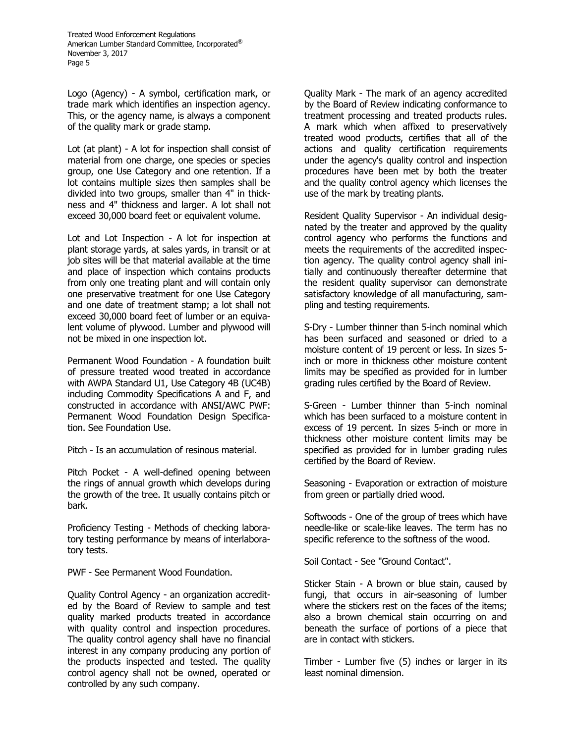Logo (Agency) - A symbol, certification mark, or trade mark which identifies an inspection agency. This, or the agency name, is always a component of the quality mark or grade stamp.

Lot (at plant) - A lot for inspection shall consist of material from one charge, one species or species group, one Use Category and one retention. If a lot contains multiple sizes then samples shall be divided into two groups, smaller than 4" in thickness and 4" thickness and larger. A lot shall not exceed 30,000 board feet or equivalent volume.

Lot and Lot Inspection - A lot for inspection at plant storage yards, at sales yards, in transit or at job sites will be that material available at the time and place of inspection which contains products from only one treating plant and will contain only one preservative treatment for one Use Category and one date of treatment stamp; a lot shall not exceed 30,000 board feet of lumber or an equivalent volume of plywood. Lumber and plywood will not be mixed in one inspection lot.

Permanent Wood Foundation - A foundation built of pressure treated wood treated in accordance with AWPA Standard U1, Use Category 4B (UC4B) including Commodity Specifications A and F, and constructed in accordance with ANSI/AWC PWF: Permanent Wood Foundation Design Specification. See Foundation Use.

Pitch - Is an accumulation of resinous material.

Pitch Pocket - A well-defined opening between the rings of annual growth which develops during the growth of the tree. It usually contains pitch or bark.

Proficiency Testing - Methods of checking laboratory testing performance by means of interlaboratory tests.

PWF - See Permanent Wood Foundation.

Quality Control Agency - an organization accredited by the Board of Review to sample and test quality marked products treated in accordance with quality control and inspection procedures. The quality control agency shall have no financial interest in any company producing any portion of the products inspected and tested. The quality control agency shall not be owned, operated or controlled by any such company.

Quality Mark - The mark of an agency accredited by the Board of Review indicating conformance to treatment processing and treated products rules. A mark which when affixed to preservatively treated wood products, certifies that all of the actions and quality certification requirements under the agency's quality control and inspection procedures have been met by both the treater and the quality control agency which licenses the use of the mark by treating plants.

Resident Quality Supervisor - An individual designated by the treater and approved by the quality control agency who performs the functions and meets the requirements of the accredited inspection agency. The quality control agency shall initially and continuously thereafter determine that the resident quality supervisor can demonstrate satisfactory knowledge of all manufacturing, sampling and testing requirements.

S-Dry - Lumber thinner than 5-inch nominal which has been surfaced and seasoned or dried to a moisture content of 19 percent or less. In sizes 5 inch or more in thickness other moisture content limits may be specified as provided for in lumber grading rules certified by the Board of Review.

S-Green - Lumber thinner than 5-inch nominal which has been surfaced to a moisture content in excess of 19 percent. In sizes 5-inch or more in thickness other moisture content limits may be specified as provided for in lumber grading rules certified by the Board of Review.

Seasoning - Evaporation or extraction of moisture from green or partially dried wood.

Softwoods - One of the group of trees which have needle-like or scale-like leaves. The term has no specific reference to the softness of the wood.

Soil Contact - See "Ground Contact".

Sticker Stain - A brown or blue stain, caused by fungi, that occurs in air-seasoning of lumber where the stickers rest on the faces of the items; also a brown chemical stain occurring on and beneath the surface of portions of a piece that are in contact with stickers.

Timber - Lumber five (5) inches or larger in its least nominal dimension.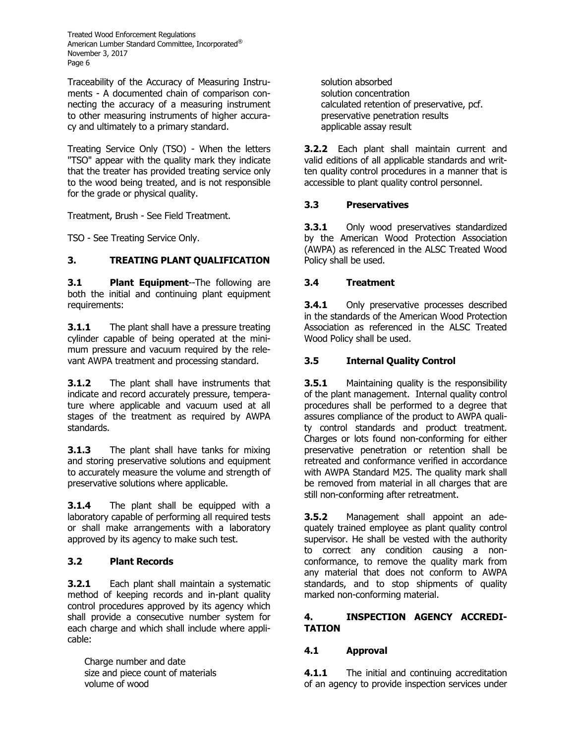Traceability of the Accuracy of Measuring Instruments - A documented chain of comparison connecting the accuracy of a measuring instrument to other measuring instruments of higher accuracy and ultimately to a primary standard.

Treating Service Only (TSO) - When the letters "TSO" appear with the quality mark they indicate that the treater has provided treating service only to the wood being treated, and is not responsible for the grade or physical quality.

Treatment, Brush - See Field Treatment.

TSO - See Treating Service Only.

# **3. TREATING PLANT QUALIFICATION**

**3.1 Plant Equipment**--The following are both the initial and continuing plant equipment requirements:

**3.1.1** The plant shall have a pressure treating cylinder capable of being operated at the minimum pressure and vacuum required by the relevant AWPA treatment and processing standard.

**3.1.2** The plant shall have instruments that indicate and record accurately pressure, temperature where applicable and vacuum used at all stages of the treatment as required by AWPA standards.

**3.1.3** The plant shall have tanks for mixing and storing preservative solutions and equipment to accurately measure the volume and strength of preservative solutions where applicable.

**3.1.4** The plant shall be equipped with a laboratory capable of performing all required tests or shall make arrangements with a laboratory approved by its agency to make such test.

# **3.2 Plant Records**

**3.2.1** Each plant shall maintain a systematic method of keeping records and in-plant quality control procedures approved by its agency which shall provide a consecutive number system for each charge and which shall include where applicable:

Charge number and date size and piece count of materials volume of wood

solution absorbed solution concentration calculated retention of preservative, pcf. preservative penetration results applicable assay result

**3.2.2** Each plant shall maintain current and valid editions of all applicable standards and written quality control procedures in a manner that is accessible to plant quality control personnel.

# **3.3 Preservatives**

**3.3.1** Only wood preservatives standardized by the American Wood Protection Association (AWPA) as referenced in the ALSC Treated Wood Policy shall be used.

# **3.4 Treatment**

**3.4.1** Only preservative processes described in the standards of the American Wood Protection Association as referenced in the ALSC Treated Wood Policy shall be used.

# **3.5 Internal Quality Control**

**3.5.1** Maintaining quality is the responsibility of the plant management. Internal quality control procedures shall be performed to a degree that assures compliance of the product to AWPA quality control standards and product treatment. Charges or lots found non-conforming for either preservative penetration or retention shall be retreated and conformance verified in accordance with AWPA Standard M25. The quality mark shall be removed from material in all charges that are still non-conforming after retreatment.

**3.5.2** Management shall appoint an adequately trained employee as plant quality control supervisor. He shall be vested with the authority to correct any condition causing a nonconformance, to remove the quality mark from any material that does not conform to AWPA standards, and to stop shipments of quality marked non-conforming material.

### **4. INSPECTION AGENCY ACCREDI-TATION**

# **4.1 Approval**

**4.1.1** The initial and continuing accreditation of an agency to provide inspection services under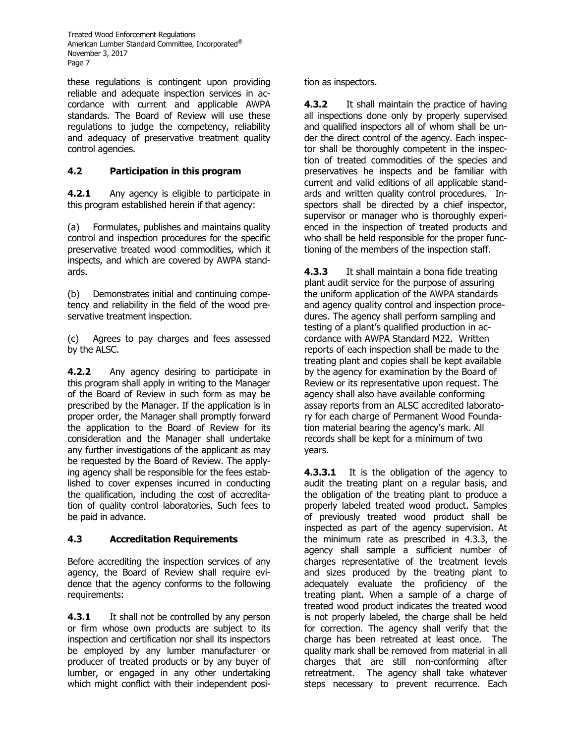these regulations is contingent upon providing reliable and adequate inspection services in accordance with current and applicable AWPA standards. The Board of Review will use these regulations to judge the competency, reliability and adequacy of preservative treatment quality control agencies.

# **4.2 Participation in this program**

**4.2.1** Any agency is eligible to participate in this program established herein if that agency:

(a) Formulates, publishes and maintains quality control and inspection procedures for the specific preservative treated wood commodities, which it inspects, and which are covered by AWPA standards.

(b) Demonstrates initial and continuing competency and reliability in the field of the wood preservative treatment inspection.

(c) Agrees to pay charges and fees assessed by the ALSC.

**4.2.2** Any agency desiring to participate in this program shall apply in writing to the Manager of the Board of Review in such form as may be prescribed by the Manager. If the application is in proper order, the Manager shall promptly forward the application to the Board of Review for its consideration and the Manager shall undertake any further investigations of the applicant as may be requested by the Board of Review. The applying agency shall be responsible for the fees established to cover expenses incurred in conducting the qualification, including the cost of accreditation of quality control laboratories. Such fees to be paid in advance.

# **4.3 Accreditation Requirements**

Before accrediting the inspection services of any agency, the Board of Review shall require evidence that the agency conforms to the following requirements:

**4.3.1** It shall not be controlled by any person or firm whose own products are subject to its inspection and certification nor shall its inspectors be employed by any lumber manufacturer or producer of treated products or by any buyer of lumber, or engaged in any other undertaking which might conflict with their independent position as inspectors.

**4.3.2** It shall maintain the practice of having all inspections done only by properly supervised and qualified inspectors all of whom shall be under the direct control of the agency. Each inspector shall be thoroughly competent in the inspection of treated commodities of the species and preservatives he inspects and be familiar with current and valid editions of all applicable standards and written quality control procedures. Inspectors shall be directed by a chief inspector, supervisor or manager who is thoroughly experienced in the inspection of treated products and who shall be held responsible for the proper functioning of the members of the inspection staff.

**4.3.3** It shall maintain a bona fide treating plant audit service for the purpose of assuring the uniform application of the AWPA standards and agency quality control and inspection procedures. The agency shall perform sampling and testing of a plant's qualified production in accordance with AWPA Standard M22. Written reports of each inspection shall be made to the treating plant and copies shall be kept available by the agency for examination by the Board of Review or its representative upon request. The agency shall also have available conforming assay reports from an ALSC accredited laboratory for each charge of Permanent Wood Foundation material bearing the agency's mark. All records shall be kept for a minimum of two years.

**4.3.3.1** It is the obligation of the agency to audit the treating plant on a regular basis, and the obligation of the treating plant to produce a properly labeled treated wood product. Samples of previously treated wood product shall be inspected as part of the agency supervision. At the minimum rate as prescribed in 4.3.3, the agency shall sample a sufficient number of charges representative of the treatment levels and sizes produced by the treating plant to adequately evaluate the proficiency of the treating plant. When a sample of a charge of treated wood product indicates the treated wood is not properly labeled, the charge shall be held for correction. The agency shall verify that the charge has been retreated at least once. The quality mark shall be removed from material in all charges that are still non-conforming after retreatment. The agency shall take whatever steps necessary to prevent recurrence. Each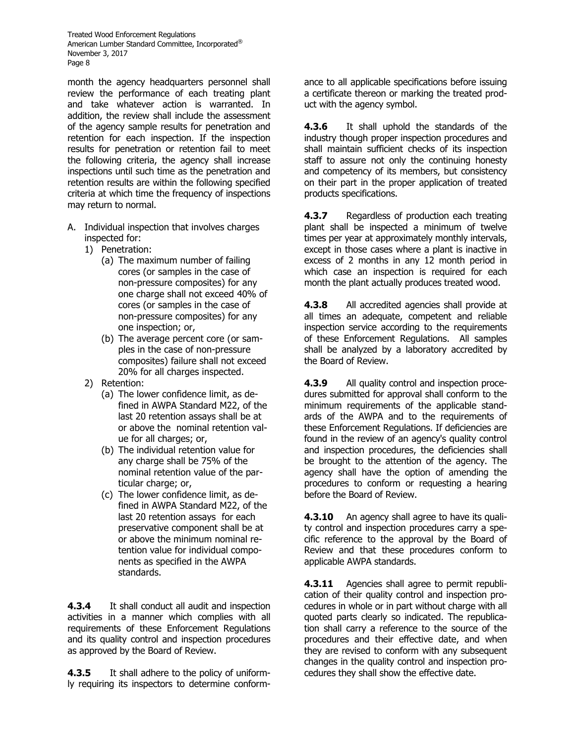month the agency headquarters personnel shall review the performance of each treating plant and take whatever action is warranted. In addition, the review shall include the assessment of the agency sample results for penetration and retention for each inspection. If the inspection results for penetration or retention fail to meet the following criteria, the agency shall increase inspections until such time as the penetration and retention results are within the following specified criteria at which time the frequency of inspections may return to normal.

- A. Individual inspection that involves charges inspected for:
	- 1) Penetration:
		- (a) The maximum number of failing cores (or samples in the case of non-pressure composites) for any one charge shall not exceed 40% of cores (or samples in the case of non-pressure composites) for any one inspection; or,
		- (b) The average percent core (or samples in the case of non-pressure composites) failure shall not exceed 20% for all charges inspected.
	- 2) Retention:
		- (a) The lower confidence limit, as defined in AWPA Standard M22, of the last 20 retention assays shall be at or above the nominal retention value for all charges; or,
		- (b) The individual retention value for any charge shall be 75% of the nominal retention value of the particular charge; or,
		- (c) The lower confidence limit, as defined in AWPA Standard M22, of the last 20 retention assays for each preservative component shall be at or above the minimum nominal retention value for individual components as specified in the AWPA standards.

**4.3.4** It shall conduct all audit and inspection activities in a manner which complies with all requirements of these Enforcement Regulations and its quality control and inspection procedures as approved by the Board of Review.

**4.3.5** It shall adhere to the policy of uniformly requiring its inspectors to determine conformance to all applicable specifications before issuing a certificate thereon or marking the treated product with the agency symbol.

**4.3.6** It shall uphold the standards of the industry though proper inspection procedures and shall maintain sufficient checks of its inspection staff to assure not only the continuing honesty and competency of its members, but consistency on their part in the proper application of treated products specifications.

**4.3.7** Regardless of production each treating plant shall be inspected a minimum of twelve times per year at approximately monthly intervals, except in those cases where a plant is inactive in excess of 2 months in any 12 month period in which case an inspection is required for each month the plant actually produces treated wood.

**4.3.8** All accredited agencies shall provide at all times an adequate, competent and reliable inspection service according to the requirements of these Enforcement Regulations. All samples shall be analyzed by a laboratory accredited by the Board of Review.

**4.3.9** All quality control and inspection procedures submitted for approval shall conform to the minimum requirements of the applicable standards of the AWPA and to the requirements of these Enforcement Regulations. If deficiencies are found in the review of an agency's quality control and inspection procedures, the deficiencies shall be brought to the attention of the agency. The agency shall have the option of amending the procedures to conform or requesting a hearing before the Board of Review.

**4.3.10** An agency shall agree to have its quality control and inspection procedures carry a specific reference to the approval by the Board of Review and that these procedures conform to applicable AWPA standards.

**4.3.11** Agencies shall agree to permit republication of their quality control and inspection procedures in whole or in part without charge with all quoted parts clearly so indicated. The republication shall carry a reference to the source of the procedures and their effective date, and when they are revised to conform with any subsequent changes in the quality control and inspection procedures they shall show the effective date.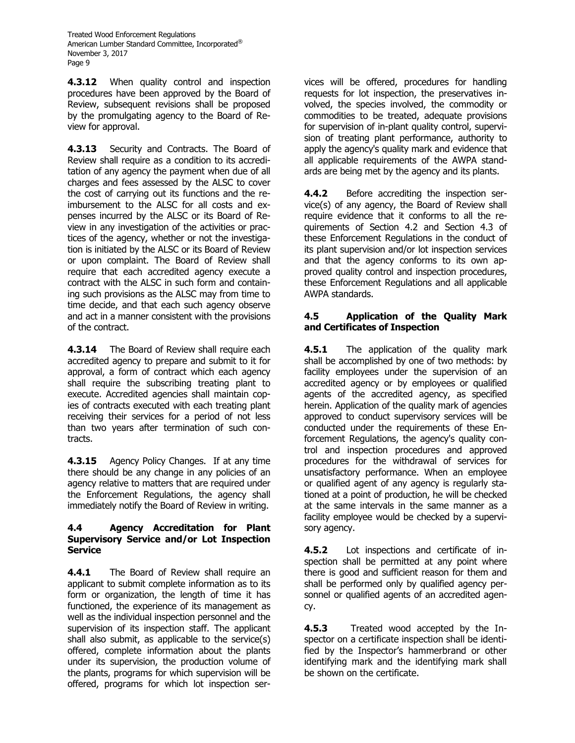**4.3.12** When quality control and inspection procedures have been approved by the Board of Review, subsequent revisions shall be proposed by the promulgating agency to the Board of Review for approval.

**4.3.13** Security and Contracts. The Board of Review shall require as a condition to its accreditation of any agency the payment when due of all charges and fees assessed by the ALSC to cover the cost of carrying out its functions and the reimbursement to the ALSC for all costs and expenses incurred by the ALSC or its Board of Review in any investigation of the activities or practices of the agency, whether or not the investigation is initiated by the ALSC or its Board of Review or upon complaint. The Board of Review shall require that each accredited agency execute a contract with the ALSC in such form and containing such provisions as the ALSC may from time to time decide, and that each such agency observe and act in a manner consistent with the provisions of the contract.

**4.3.14** The Board of Review shall require each accredited agency to prepare and submit to it for approval, a form of contract which each agency shall require the subscribing treating plant to execute. Accredited agencies shall maintain copies of contracts executed with each treating plant receiving their services for a period of not less than two years after termination of such contracts.

**4.3.15** Agency Policy Changes. If at any time there should be any change in any policies of an agency relative to matters that are required under the Enforcement Regulations, the agency shall immediately notify the Board of Review in writing.

### **4.4 Agency Accreditation for Plant Supervisory Service and/or Lot Inspection Service**

**4.4.1** The Board of Review shall require an applicant to submit complete information as to its form or organization, the length of time it has functioned, the experience of its management as well as the individual inspection personnel and the supervision of its inspection staff. The applicant shall also submit, as applicable to the service(s) offered, complete information about the plants under its supervision, the production volume of the plants, programs for which supervision will be offered, programs for which lot inspection services will be offered, procedures for handling requests for lot inspection, the preservatives involved, the species involved, the commodity or commodities to be treated, adequate provisions for supervision of in-plant quality control, supervision of treating plant performance, authority to apply the agency's quality mark and evidence that all applicable requirements of the AWPA standards are being met by the agency and its plants.

**4.4.2** Before accrediting the inspection service(s) of any agency, the Board of Review shall require evidence that it conforms to all the requirements of Section 4.2 and Section 4.3 of these Enforcement Regulations in the conduct of its plant supervision and/or lot inspection services and that the agency conforms to its own approved quality control and inspection procedures, these Enforcement Regulations and all applicable AWPA standards.

### **4.5 Application of the Quality Mark and Certificates of Inspection**

**4.5.1** The application of the quality mark shall be accomplished by one of two methods: by facility employees under the supervision of an accredited agency or by employees or qualified agents of the accredited agency, as specified herein. Application of the quality mark of agencies approved to conduct supervisory services will be conducted under the requirements of these Enforcement Regulations, the agency's quality control and inspection procedures and approved procedures for the withdrawal of services for unsatisfactory performance. When an employee or qualified agent of any agency is regularly stationed at a point of production, he will be checked at the same intervals in the same manner as a facility employee would be checked by a supervisory agency.

**4.5.2** Lot inspections and certificate of inspection shall be permitted at any point where there is good and sufficient reason for them and shall be performed only by qualified agency personnel or qualified agents of an accredited agency.

**4.5.3** Treated wood accepted by the Inspector on a certificate inspection shall be identified by the Inspector's hammerbrand or other identifying mark and the identifying mark shall be shown on the certificate.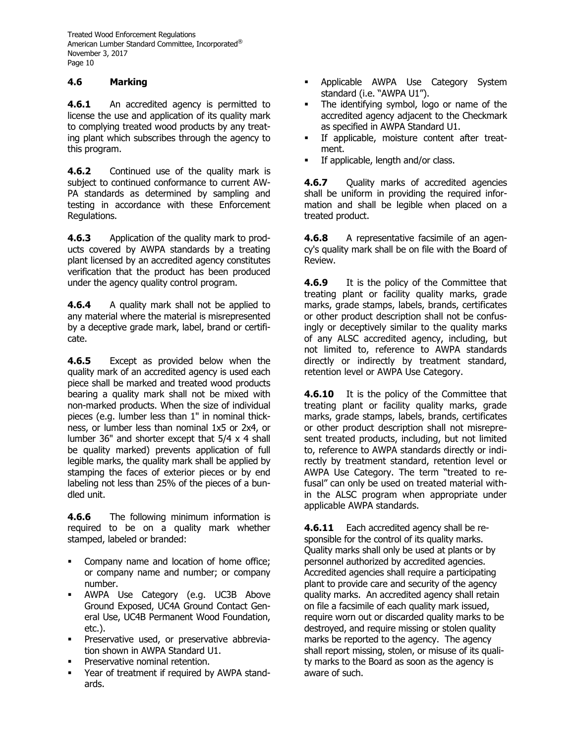# **4.6 Marking**

**4.6.1** An accredited agency is permitted to license the use and application of its quality mark to complying treated wood products by any treating plant which subscribes through the agency to this program.

**4.6.2** Continued use of the quality mark is subject to continued conformance to current AW-PA standards as determined by sampling and testing in accordance with these Enforcement Regulations.

**4.6.3** Application of the quality mark to products covered by AWPA standards by a treating plant licensed by an accredited agency constitutes verification that the product has been produced under the agency quality control program.

**4.6.4** A quality mark shall not be applied to any material where the material is misrepresented by a deceptive grade mark, label, brand or certificate.

**4.6.5** Except as provided below when the quality mark of an accredited agency is used each piece shall be marked and treated wood products bearing a quality mark shall not be mixed with non-marked products. When the size of individual pieces (e.g. lumber less than 1" in nominal thickness, or lumber less than nominal 1x5 or 2x4, or lumber 36" and shorter except that 5/4 x 4 shall be quality marked) prevents application of full legible marks, the quality mark shall be applied by stamping the faces of exterior pieces or by end labeling not less than 25% of the pieces of a bundled unit.

**4.6.6** The following minimum information is required to be on a quality mark whether stamped, labeled or branded:

- Company name and location of home office; or company name and number; or company number.
- AWPA Use Category (e.g. UC3B Above Ground Exposed, UC4A Ground Contact General Use, UC4B Permanent Wood Foundation, etc.).
- Preservative used, or preservative abbreviation shown in AWPA Standard U1.
- Preservative nominal retention.
- Year of treatment if required by AWPA standards.
- Applicable AWPA Use Category System standard (i.e. "AWPA U1").
- The identifying symbol, logo or name of the accredited agency adjacent to the Checkmark as specified in AWPA Standard U1.
- If applicable, moisture content after treatment.
- **•** If applicable, length and/or class.

**4.6.7** Quality marks of accredited agencies shall be uniform in providing the required information and shall be legible when placed on a treated product.

**4.6.8** A representative facsimile of an agency's quality mark shall be on file with the Board of Review.

**4.6.9** It is the policy of the Committee that treating plant or facility quality marks, grade marks, grade stamps, labels, brands, certificates or other product description shall not be confusingly or deceptively similar to the quality marks of any ALSC accredited agency, including, but not limited to, reference to AWPA standards directly or indirectly by treatment standard, retention level or AWPA Use Category.

**4.6.10** It is the policy of the Committee that treating plant or facility quality marks, grade marks, grade stamps, labels, brands, certificates or other product description shall not misrepresent treated products, including, but not limited to, reference to AWPA standards directly or indirectly by treatment standard, retention level or AWPA Use Category. The term "treated to refusal" can only be used on treated material within the ALSC program when appropriate under applicable AWPA standards.

**4.6.11** Each accredited agency shall be responsible for the control of its quality marks. Quality marks shall only be used at plants or by personnel authorized by accredited agencies. Accredited agencies shall require a participating plant to provide care and security of the agency quality marks. An accredited agency shall retain on file a facsimile of each quality mark issued, require worn out or discarded quality marks to be destroyed, and require missing or stolen quality marks be reported to the agency. The agency shall report missing, stolen, or misuse of its quality marks to the Board as soon as the agency is aware of such.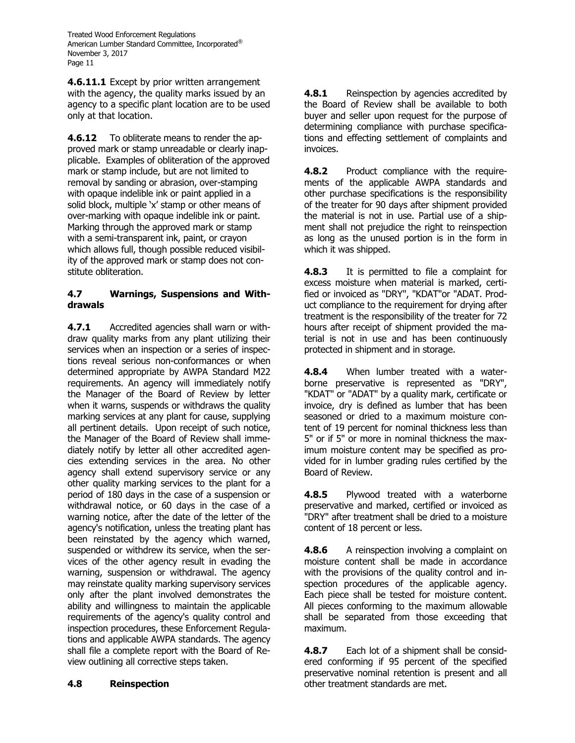**4.6.11.1** Except by prior written arrangement with the agency, the quality marks issued by an agency to a specific plant location are to be used only at that location.

**4.6.12** To obliterate means to render the approved mark or stamp unreadable or clearly inapplicable. Examples of obliteration of the approved mark or stamp include, but are not limited to removal by sanding or abrasion, over-stamping with opaque indelible ink or paint applied in a solid block, multiple 'x' stamp or other means of over-marking with opaque indelible ink or paint. Marking through the approved mark or stamp with a semi-transparent ink, paint, or crayon which allows full, though possible reduced visibility of the approved mark or stamp does not constitute obliteration.

#### **4.7 Warnings, Suspensions and Withdrawals**

**4.7.1** Accredited agencies shall warn or withdraw quality marks from any plant utilizing their services when an inspection or a series of inspections reveal serious non-conformances or when determined appropriate by AWPA Standard M22 requirements. An agency will immediately notify the Manager of the Board of Review by letter when it warns, suspends or withdraws the quality marking services at any plant for cause, supplying all pertinent details. Upon receipt of such notice, the Manager of the Board of Review shall immediately notify by letter all other accredited agencies extending services in the area. No other agency shall extend supervisory service or any other quality marking services to the plant for a period of 180 days in the case of a suspension or withdrawal notice, or 60 days in the case of a warning notice, after the date of the letter of the agency's notification, unless the treating plant has been reinstated by the agency which warned, suspended or withdrew its service, when the services of the other agency result in evading the warning, suspension or withdrawal. The agency may reinstate quality marking supervisory services only after the plant involved demonstrates the ability and willingness to maintain the applicable requirements of the agency's quality control and inspection procedures, these Enforcement Regulations and applicable AWPA standards. The agency shall file a complete report with the Board of Review outlining all corrective steps taken.

**4.8.1** Reinspection by agencies accredited by the Board of Review shall be available to both buyer and seller upon request for the purpose of determining compliance with purchase specifications and effecting settlement of complaints and invoices.

**4.8.2** Product compliance with the requirements of the applicable AWPA standards and other purchase specifications is the responsibility of the treater for 90 days after shipment provided the material is not in use. Partial use of a shipment shall not prejudice the right to reinspection as long as the unused portion is in the form in which it was shipped.

**4.8.3** It is permitted to file a complaint for excess moisture when material is marked, certified or invoiced as "DRY", "KDAT"or "ADAT. Product compliance to the requirement for drying after treatment is the responsibility of the treater for 72 hours after receipt of shipment provided the material is not in use and has been continuously protected in shipment and in storage.

**4.8.4** When lumber treated with a waterborne preservative is represented as "DRY", "KDAT" or "ADAT" by a quality mark, certificate or invoice, dry is defined as lumber that has been seasoned or dried to a maximum moisture content of 19 percent for nominal thickness less than 5" or if 5" or more in nominal thickness the maximum moisture content may be specified as provided for in lumber grading rules certified by the Board of Review.

**4.8.5** Plywood treated with a waterborne preservative and marked, certified or invoiced as "DRY" after treatment shall be dried to a moisture content of 18 percent or less.

**4.8.6** A reinspection involving a complaint on moisture content shall be made in accordance with the provisions of the quality control and inspection procedures of the applicable agency. Each piece shall be tested for moisture content. All pieces conforming to the maximum allowable shall be separated from those exceeding that maximum.

**4.8.7** Each lot of a shipment shall be considered conforming if 95 percent of the specified preservative nominal retention is present and all other treatment standards are met.

# **4.8 Reinspection**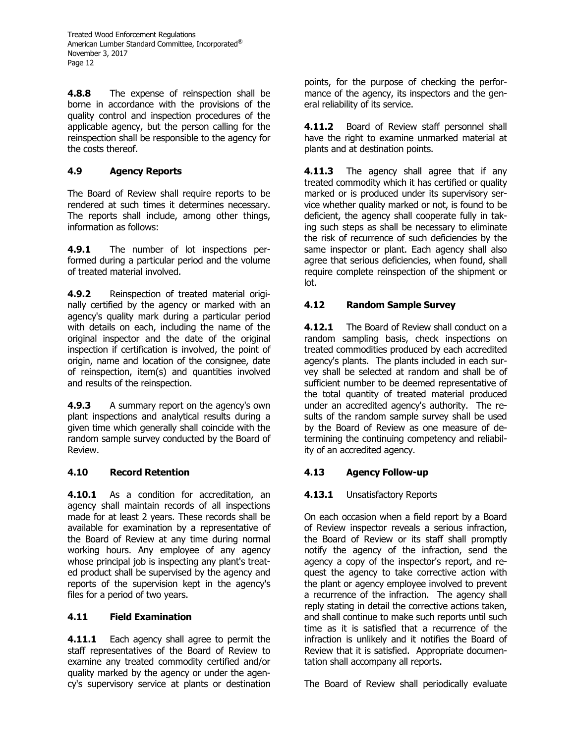**4.8.8** The expense of reinspection shall be borne in accordance with the provisions of the quality control and inspection procedures of the applicable agency, but the person calling for the reinspection shall be responsible to the agency for the costs thereof.

# **4.9 Agency Reports**

The Board of Review shall require reports to be rendered at such times it determines necessary. The reports shall include, among other things, information as follows:

**4.9.1** The number of lot inspections performed during a particular period and the volume of treated material involved.

**4.9.2** Reinspection of treated material originally certified by the agency or marked with an agency's quality mark during a particular period with details on each, including the name of the original inspector and the date of the original inspection if certification is involved, the point of origin, name and location of the consignee, date of reinspection, item(s) and quantities involved and results of the reinspection.

**4.9.3** A summary report on the agency's own plant inspections and analytical results during a given time which generally shall coincide with the random sample survey conducted by the Board of Review.

# **4.10 Record Retention**

**4.10.1** As a condition for accreditation, an agency shall maintain records of all inspections made for at least 2 years. These records shall be available for examination by a representative of the Board of Review at any time during normal working hours. Any employee of any agency whose principal job is inspecting any plant's treated product shall be supervised by the agency and reports of the supervision kept in the agency's files for a period of two years.

# **4.11 Field Examination**

**4.11.1** Each agency shall agree to permit the staff representatives of the Board of Review to examine any treated commodity certified and/or quality marked by the agency or under the agency's supervisory service at plants or destination points, for the purpose of checking the performance of the agency, its inspectors and the general reliability of its service.

**4.11.2** Board of Review staff personnel shall have the right to examine unmarked material at plants and at destination points.

**4.11.3** The agency shall agree that if any treated commodity which it has certified or quality marked or is produced under its supervisory service whether quality marked or not, is found to be deficient, the agency shall cooperate fully in taking such steps as shall be necessary to eliminate the risk of recurrence of such deficiencies by the same inspector or plant. Each agency shall also agree that serious deficiencies, when found, shall require complete reinspection of the shipment or lot.

# **4.12 Random Sample Survey**

**4.12.1** The Board of Review shall conduct on a random sampling basis, check inspections on treated commodities produced by each accredited agency's plants. The plants included in each survey shall be selected at random and shall be of sufficient number to be deemed representative of the total quantity of treated material produced under an accredited agency's authority. The results of the random sample survey shall be used by the Board of Review as one measure of determining the continuing competency and reliability of an accredited agency.

# **4.13 Agency Follow-up**

# **4.13.1** Unsatisfactory Reports

On each occasion when a field report by a Board of Review inspector reveals a serious infraction, the Board of Review or its staff shall promptly notify the agency of the infraction, send the agency a copy of the inspector's report, and request the agency to take corrective action with the plant or agency employee involved to prevent a recurrence of the infraction. The agency shall reply stating in detail the corrective actions taken, and shall continue to make such reports until such time as it is satisfied that a recurrence of the infraction is unlikely and it notifies the Board of Review that it is satisfied. Appropriate documentation shall accompany all reports.

The Board of Review shall periodically evaluate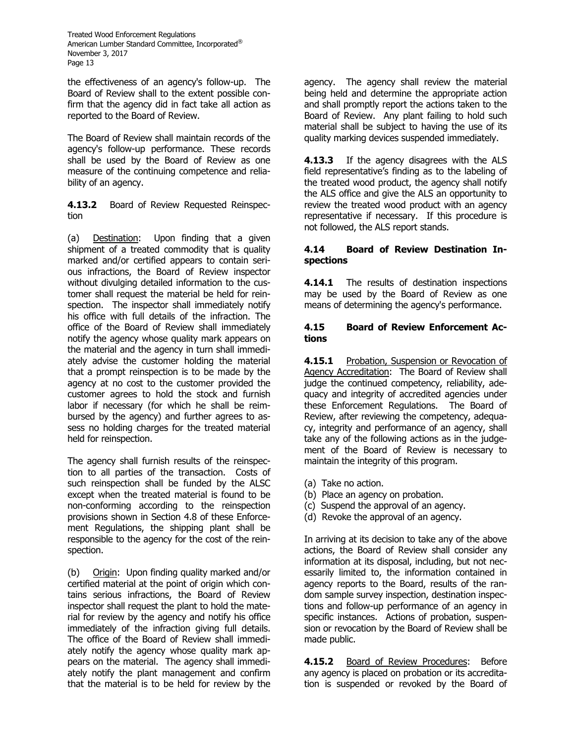the effectiveness of an agency's follow-up. The Board of Review shall to the extent possible confirm that the agency did in fact take all action as reported to the Board of Review.

The Board of Review shall maintain records of the agency's follow-up performance. These records shall be used by the Board of Review as one measure of the continuing competence and reliability of an agency.

**4.13.2** Board of Review Requested Reinspection

(a) Destination: Upon finding that a given shipment of a treated commodity that is quality marked and/or certified appears to contain serious infractions, the Board of Review inspector without divulging detailed information to the customer shall request the material be held for reinspection. The inspector shall immediately notify his office with full details of the infraction. The office of the Board of Review shall immediately notify the agency whose quality mark appears on the material and the agency in turn shall immediately advise the customer holding the material that a prompt reinspection is to be made by the agency at no cost to the customer provided the customer agrees to hold the stock and furnish labor if necessary (for which he shall be reimbursed by the agency) and further agrees to assess no holding charges for the treated material held for reinspection.

The agency shall furnish results of the reinspection to all parties of the transaction. Costs of such reinspection shall be funded by the ALSC except when the treated material is found to be non-conforming according to the reinspection provisions shown in Section 4.8 of these Enforcement Regulations, the shipping plant shall be responsible to the agency for the cost of the reinspection.

(b) Origin: Upon finding quality marked and/or certified material at the point of origin which contains serious infractions, the Board of Review inspector shall request the plant to hold the material for review by the agency and notify his office immediately of the infraction giving full details. The office of the Board of Review shall immediately notify the agency whose quality mark appears on the material. The agency shall immediately notify the plant management and confirm that the material is to be held for review by the

agency. The agency shall review the material being held and determine the appropriate action and shall promptly report the actions taken to the Board of Review. Any plant failing to hold such material shall be subject to having the use of its quality marking devices suspended immediately.

**4.13.3** If the agency disagrees with the ALS field representative's finding as to the labeling of the treated wood product, the agency shall notify the ALS office and give the ALS an opportunity to review the treated wood product with an agency representative if necessary. If this procedure is not followed, the ALS report stands.

### **4.14 Board of Review Destination Inspections**

**4.14.1** The results of destination inspections may be used by the Board of Review as one means of determining the agency's performance.

### **4.15 Board of Review Enforcement Actions**

**4.15.1** Probation, Suspension or Revocation of Agency Accreditation: The Board of Review shall judge the continued competency, reliability, adequacy and integrity of accredited agencies under these Enforcement Regulations. The Board of Review, after reviewing the competency, adequacy, integrity and performance of an agency, shall take any of the following actions as in the judgement of the Board of Review is necessary to maintain the integrity of this program.

- (a) Take no action.
- (b) Place an agency on probation.
- (c) Suspend the approval of an agency.
- (d) Revoke the approval of an agency.

In arriving at its decision to take any of the above actions, the Board of Review shall consider any information at its disposal, including, but not necessarily limited to, the information contained in agency reports to the Board, results of the random sample survey inspection, destination inspections and follow-up performance of an agency in specific instances. Actions of probation, suspension or revocation by the Board of Review shall be made public.

**4.15.2** Board of Review Procedures: Before any agency is placed on probation or its accreditation is suspended or revoked by the Board of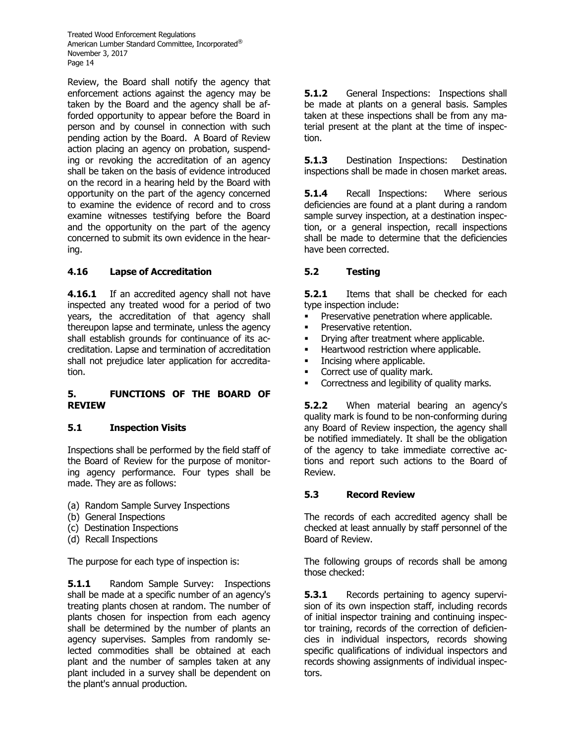Review, the Board shall notify the agency that enforcement actions against the agency may be taken by the Board and the agency shall be afforded opportunity to appear before the Board in person and by counsel in connection with such pending action by the Board. A Board of Review action placing an agency on probation, suspending or revoking the accreditation of an agency shall be taken on the basis of evidence introduced on the record in a hearing held by the Board with opportunity on the part of the agency concerned to examine the evidence of record and to cross examine witnesses testifying before the Board and the opportunity on the part of the agency concerned to submit its own evidence in the hearing.

# **4.16 Lapse of Accreditation**

**4.16.1** If an accredited agency shall not have inspected any treated wood for a period of two years, the accreditation of that agency shall thereupon lapse and terminate, unless the agency shall establish grounds for continuance of its accreditation. Lapse and termination of accreditation shall not prejudice later application for accreditation.

#### **5. FUNCTIONS OF THE BOARD OF REVIEW**

### **5.1 Inspection Visits**

Inspections shall be performed by the field staff of the Board of Review for the purpose of monitoring agency performance. Four types shall be made. They are as follows:

- (a) Random Sample Survey Inspections
- (b) General Inspections
- (c) Destination Inspections
- (d) Recall Inspections

The purpose for each type of inspection is:

**5.1.1** Random Sample Survey: Inspections shall be made at a specific number of an agency's treating plants chosen at random. The number of plants chosen for inspection from each agency shall be determined by the number of plants an agency supervises. Samples from randomly selected commodities shall be obtained at each plant and the number of samples taken at any plant included in a survey shall be dependent on the plant's annual production.

**5.1.2** General Inspections: Inspections shall be made at plants on a general basis. Samples taken at these inspections shall be from any material present at the plant at the time of inspection.

**5.1.3** Destination Inspections: Destination inspections shall be made in chosen market areas.

**5.1.4** Recall Inspections: Where serious deficiencies are found at a plant during a random sample survey inspection, at a destination inspection, or a general inspection, recall inspections shall be made to determine that the deficiencies have been corrected.

# **5.2 Testing**

**5.2.1** Items that shall be checked for each type inspection include:

- Preservative penetration where applicable.
- Preservative retention.
- **•** Drying after treatment where applicable.
- Heartwood restriction where applicable.
- **•** Incising where applicable.
- Correct use of quality mark.
- **•** Correctness and legibility of quality marks.

**5.2.2** When material bearing an agency's quality mark is found to be non-conforming during any Board of Review inspection, the agency shall be notified immediately. It shall be the obligation of the agency to take immediate corrective actions and report such actions to the Board of Review.

### **5.3 Record Review**

The records of each accredited agency shall be checked at least annually by staff personnel of the Board of Review.

The following groups of records shall be among those checked:

**5.3.1** Records pertaining to agency supervision of its own inspection staff, including records of initial inspector training and continuing inspector training, records of the correction of deficiencies in individual inspectors, records showing specific qualifications of individual inspectors and records showing assignments of individual inspectors.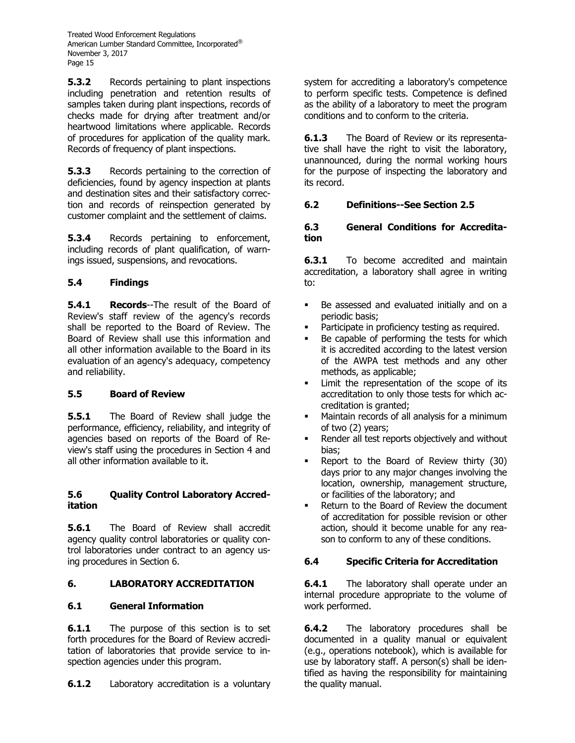**5.3.2** Records pertaining to plant inspections including penetration and retention results of samples taken during plant inspections, records of checks made for drying after treatment and/or heartwood limitations where applicable. Records of procedures for application of the quality mark. Records of frequency of plant inspections.

**5.3.3** Records pertaining to the correction of deficiencies, found by agency inspection at plants and destination sites and their satisfactory correction and records of reinspection generated by customer complaint and the settlement of claims.

**5.3.4** Records pertaining to enforcement, including records of plant qualification, of warnings issued, suspensions, and revocations.

# **5.4 Findings**

**5.4.1 Records**--The result of the Board of Review's staff review of the agency's records shall be reported to the Board of Review. The Board of Review shall use this information and all other information available to the Board in its evaluation of an agency's adequacy, competency and reliability.

### **5.5 Board of Review**

**5.5.1** The Board of Review shall judge the performance, efficiency, reliability, and integrity of agencies based on reports of the Board of Review's staff using the procedures in Section 4 and all other information available to it.

#### **5.6 Quality Control Laboratory Accreditation**

**5.6.1** The Board of Review shall accredit agency quality control laboratories or quality control laboratories under contract to an agency using procedures in Section 6.

# **6. LABORATORY ACCREDITATION**

### **6.1 General Information**

**6.1.1** The purpose of this section is to set forth procedures for the Board of Review accreditation of laboratories that provide service to inspection agencies under this program.

**6.1.2** Laboratory accreditation is a voluntary

system for accrediting a laboratory's competence to perform specific tests. Competence is defined as the ability of a laboratory to meet the program conditions and to conform to the criteria.

**6.1.3** The Board of Review or its representative shall have the right to visit the laboratory, unannounced, during the normal working hours for the purpose of inspecting the laboratory and its record.

### **6.2 Definitions--See Section 2.5**

#### **6.3 General Conditions for Accreditation**

**6.3.1** To become accredited and maintain accreditation, a laboratory shall agree in writing to:

- Be assessed and evaluated initially and on a periodic basis;
- Participate in proficiency testing as required.
- Be capable of performing the tests for which it is accredited according to the latest version of the AWPA test methods and any other methods, as applicable;
- Limit the representation of the scope of its accreditation to only those tests for which accreditation is granted;
- Maintain records of all analysis for a minimum of two (2) years;
- Render all test reports objectively and without bias;
- Report to the Board of Review thirty (30) days prior to any major changes involving the location, ownership, management structure, or facilities of the laboratory; and
- Return to the Board of Review the document of accreditation for possible revision or other action, should it become unable for any reason to conform to any of these conditions.

### **6.4 Specific Criteria for Accreditation**

**6.4.1** The laboratory shall operate under an internal procedure appropriate to the volume of work performed.

**6.4.2** The laboratory procedures shall be documented in a quality manual or equivalent (e.g., operations notebook), which is available for use by laboratory staff. A person(s) shall be identified as having the responsibility for maintaining the quality manual.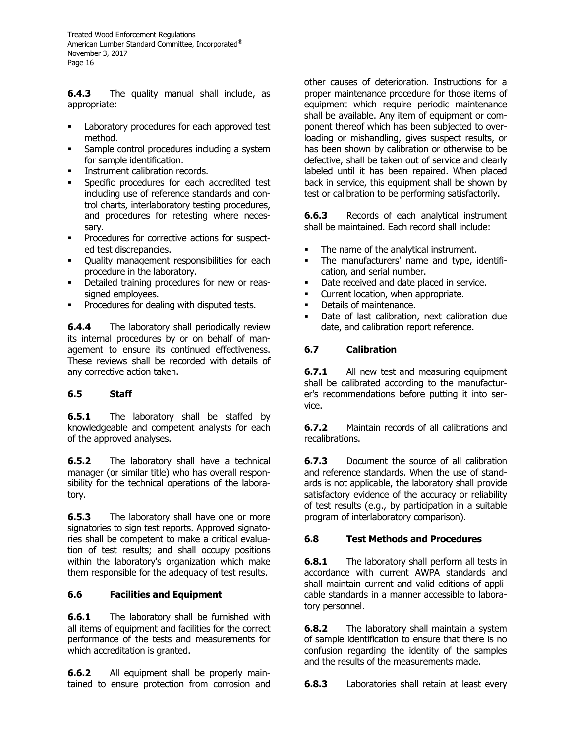**6.4.3** The quality manual shall include, as appropriate:

- Laboratory procedures for each approved test method.
- Sample control procedures including a system for sample identification.
- Instrument calibration records.
- Specific procedures for each accredited test including use of reference standards and control charts, interlaboratory testing procedures, and procedures for retesting where necessary.
- Procedures for corrective actions for suspected test discrepancies.
- Quality management responsibilities for each procedure in the laboratory.
- Detailed training procedures for new or reassigned employees.
- Procedures for dealing with disputed tests.

**6.4.4** The laboratory shall periodically review its internal procedures by or on behalf of management to ensure its continued effectiveness. These reviews shall be recorded with details of any corrective action taken.

# **6.5 Staff**

**6.5.1** The laboratory shall be staffed by knowledgeable and competent analysts for each of the approved analyses.

**6.5.2** The laboratory shall have a technical manager (or similar title) who has overall responsibility for the technical operations of the laboratory.

**6.5.3** The laboratory shall have one or more signatories to sign test reports. Approved signatories shall be competent to make a critical evaluation of test results; and shall occupy positions within the laboratory's organization which make them responsible for the adequacy of test results.

### **6.6 Facilities and Equipment**

**6.6.1** The laboratory shall be furnished with all items of equipment and facilities for the correct performance of the tests and measurements for which accreditation is granted.

**6.6.2** All equipment shall be properly maintained to ensure protection from corrosion and other causes of deterioration. Instructions for a proper maintenance procedure for those items of equipment which require periodic maintenance shall be available. Any item of equipment or component thereof which has been subjected to overloading or mishandling, gives suspect results, or has been shown by calibration or otherwise to be defective, shall be taken out of service and clearly labeled until it has been repaired. When placed back in service, this equipment shall be shown by test or calibration to be performing satisfactorily.

**6.6.3** Records of each analytical instrument shall be maintained. Each record shall include:

- The name of the analytical instrument.
- The manufacturers' name and type, identification, and serial number.
- Date received and date placed in service.
- Current location, when appropriate.
- Details of maintenance.
- Date of last calibration, next calibration due date, and calibration report reference.

# **6.7 Calibration**

**6.7.1** All new test and measuring equipment shall be calibrated according to the manufacturer's recommendations before putting it into service.

**6.7.2** Maintain records of all calibrations and recalibrations.

**6.7.3** Document the source of all calibration and reference standards. When the use of standards is not applicable, the laboratory shall provide satisfactory evidence of the accuracy or reliability of test results (e.g., by participation in a suitable program of interlaboratory comparison).

# **6.8 Test Methods and Procedures**

**6.8.1** The laboratory shall perform all tests in accordance with current AWPA standards and shall maintain current and valid editions of applicable standards in a manner accessible to laboratory personnel.

**6.8.2** The laboratory shall maintain a system of sample identification to ensure that there is no confusion regarding the identity of the samples and the results of the measurements made.

**6.8.3** Laboratories shall retain at least every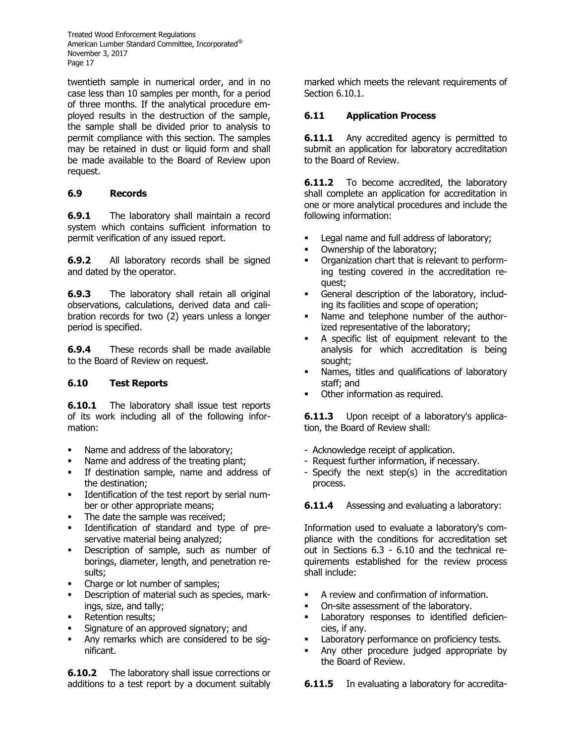twentieth sample in numerical order, and in no case less than 10 samples per month, for a period of three months. If the analytical procedure employed results in the destruction of the sample, the sample shall be divided prior to analysis to permit compliance with this section. The samples may be retained in dust or liquid form and shall be made available to the Board of Review upon request.

# **6.9 Records**

**6.9.1** The laboratory shall maintain a record system which contains sufficient information to permit verification of any issued report.

**6.9.2** All laboratory records shall be signed and dated by the operator.

**6.9.3** The laboratory shall retain all original observations, calculations, derived data and calibration records for two (2) years unless a longer period is specified.

**6.9.4** These records shall be made available to the Board of Review on request.

### **6.10 Test Reports**

**6.10.1** The laboratory shall issue test reports of its work including all of the following information:

- Name and address of the laboratory;
- Name and address of the treating plant;
- If destination sample, name and address of the destination;
- Identification of the test report by serial number or other appropriate means;
- The date the sample was received;
- Identification of standard and type of preservative material being analyzed;
- Description of sample, such as number of borings, diameter, length, and penetration results;
- Charge or lot number of samples;
- Description of material such as species, markings, size, and tally;
- Retention results;
- Signature of an approved signatory; and
- Any remarks which are considered to be significant.

**6.10.2** The laboratory shall issue corrections or additions to a test report by a document suitably marked which meets the relevant requirements of Section 6.10.1.

### **6.11 Application Process**

**6.11.1** Any accredited agency is permitted to submit an application for laboratory accreditation to the Board of Review.

**6.11.2** To become accredited, the laboratory shall complete an application for accreditation in one or more analytical procedures and include the following information:

- Legal name and full address of laboratory;
- Ownership of the laboratory;
- Organization chart that is relevant to performing testing covered in the accreditation request;
- General description of the laboratory, including its facilities and scope of operation;
- Name and telephone number of the authorized representative of the laboratory;
- A specific list of equipment relevant to the analysis for which accreditation is being sought;
- **EXEDEN** Names, titles and qualifications of laboratory staff; and
- Other information as required.

**6.11.3** Upon receipt of a laboratory's application, the Board of Review shall:

- Acknowledge receipt of application.
- Request further information, if necessary.
- Specify the next step(s) in the accreditation process.

**6.11.4** Assessing and evaluating a laboratory:

Information used to evaluate a laboratory's compliance with the conditions for accreditation set out in Sections 6.3 - 6.10 and the technical requirements established for the review process shall include:

- A review and confirmation of information.
- **On-site assessment of the laboratory.**
- Laboratory responses to identified deficiencies, if any.
- Laboratory performance on proficiency tests.
- Any other procedure judged appropriate by the Board of Review.

**6.11.5** In evaluating a laboratory for accredita-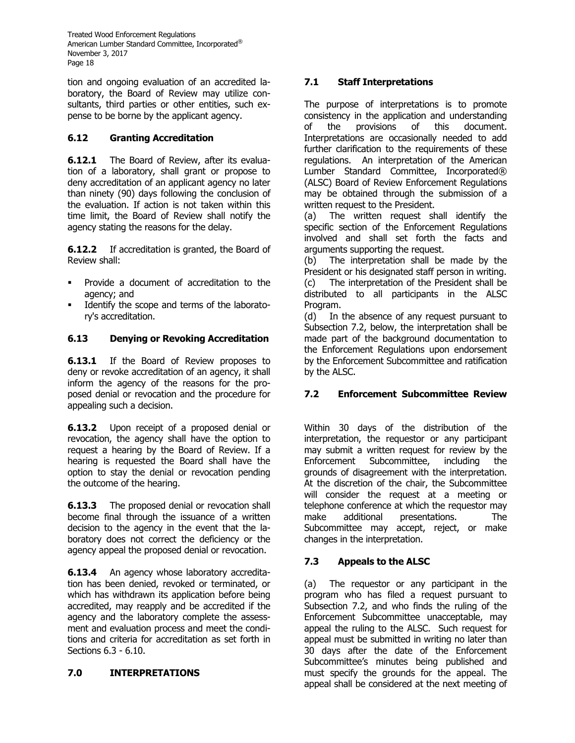tion and ongoing evaluation of an accredited laboratory, the Board of Review may utilize consultants, third parties or other entities, such expense to be borne by the applicant agency.

# **6.12 Granting Accreditation**

**6.12.1** The Board of Review, after its evaluation of a laboratory, shall grant or propose to deny accreditation of an applicant agency no later than ninety (90) days following the conclusion of the evaluation. If action is not taken within this time limit, the Board of Review shall notify the agency stating the reasons for the delay.

**6.12.2** If accreditation is granted, the Board of Review shall:

- Provide a document of accreditation to the agency; and
- Identify the scope and terms of the laboratory's accreditation.

# **6.13 Denying or Revoking Accreditation**

**6.13.1** If the Board of Review proposes to deny or revoke accreditation of an agency, it shall inform the agency of the reasons for the proposed denial or revocation and the procedure for appealing such a decision.

**6.13.2** Upon receipt of a proposed denial or revocation, the agency shall have the option to request a hearing by the Board of Review. If a hearing is requested the Board shall have the option to stay the denial or revocation pending the outcome of the hearing.

**6.13.3** The proposed denial or revocation shall become final through the issuance of a written decision to the agency in the event that the laboratory does not correct the deficiency or the agency appeal the proposed denial or revocation.

**6.13.4** An agency whose laboratory accreditation has been denied, revoked or terminated, or which has withdrawn its application before being accredited, may reapply and be accredited if the agency and the laboratory complete the assessment and evaluation process and meet the conditions and criteria for accreditation as set forth in Sections 6.3 - 6.10.

# **7.0 INTERPRETATIONS**

# **7.1 Staff Interpretations**

The purpose of interpretations is to promote consistency in the application and understanding of the provisions of this document. Interpretations are occasionally needed to add further clarification to the requirements of these regulations. An interpretation of the American Lumber Standard Committee, Incorporated® (ALSC) Board of Review Enforcement Regulations may be obtained through the submission of a written request to the President.

(a) The written request shall identify the specific section of the Enforcement Regulations involved and shall set forth the facts and arguments supporting the request.

(b) The interpretation shall be made by the President or his designated staff person in writing. (c) The interpretation of the President shall be distributed to all participants in the ALSC Program.

(d) In the absence of any request pursuant to Subsection 7.2, below, the interpretation shall be made part of the background documentation to the Enforcement Regulations upon endorsement by the Enforcement Subcommittee and ratification by the ALSC.

# **7.2 Enforcement Subcommittee Review**

Within 30 days of the distribution of the interpretation, the requestor or any participant may submit a written request for review by the Enforcement Subcommittee, including the grounds of disagreement with the interpretation. At the discretion of the chair, the Subcommittee will consider the request at a meeting or telephone conference at which the requestor may make additional presentations. The Subcommittee may accept, reject, or make changes in the interpretation.

### **7.3 Appeals to the ALSC**

(a) The requestor or any participant in the program who has filed a request pursuant to Subsection 7.2, and who finds the ruling of the Enforcement Subcommittee unacceptable, may appeal the ruling to the ALSC. Such request for appeal must be submitted in writing no later than 30 days after the date of the Enforcement Subcommittee's minutes being published and must specify the grounds for the appeal. The appeal shall be considered at the next meeting of